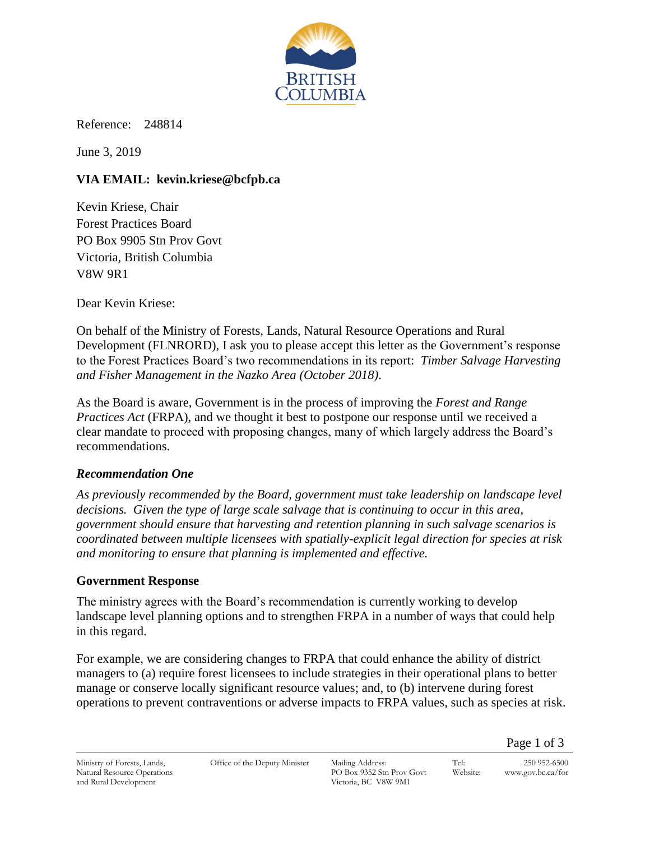

Reference: 248814

June 3, 2019

# **VIA EMAIL: kevin.kriese@bcfpb.ca**

Kevin Kriese, Chair Forest Practices Board PO Box 9905 Stn Prov Govt Victoria, British Columbia V8W 9R1

Dear Kevin Kriese:

On behalf of the Ministry of Forests, Lands, Natural Resource Operations and Rural Development (FLNRORD), I ask you to please accept this letter as the Government's response to the Forest Practices Board's two recommendations in its report: *Timber Salvage Harvesting and Fisher Management in the Nazko Area (October 2018)*.

As the Board is aware, Government is in the process of improving the *Forest and Range Practices Act* (FRPA), and we thought it best to postpone our response until we received a clear mandate to proceed with proposing changes, many of which largely address the Board's recommendations.

### *Recommendation One*

*As previously recommended by the Board, government must take leadership on landscape level decisions. Given the type of large scale salvage that is continuing to occur in this area, government should ensure that harvesting and retention planning in such salvage scenarios is coordinated between multiple licensees with spatially-explicit legal direction for species at risk and monitoring to ensure that planning is implemented and effective.* 

#### **Government Response**

The ministry agrees with the Board's recommendation is currently working to develop landscape level planning options and to strengthen FRPA in a number of ways that could help in this regard.

For example, we are considering changes to FRPA that could enhance the ability of district managers to (a) require forest licensees to include strategies in their operational plans to better manage or conserve locally significant resource values; and, to (b) intervene during forest operations to prevent contraventions or adverse impacts to FRPA values, such as species at risk.

Tel: 250 952-6500 Website: www.gov.bc.ca/for

Page 1 of 3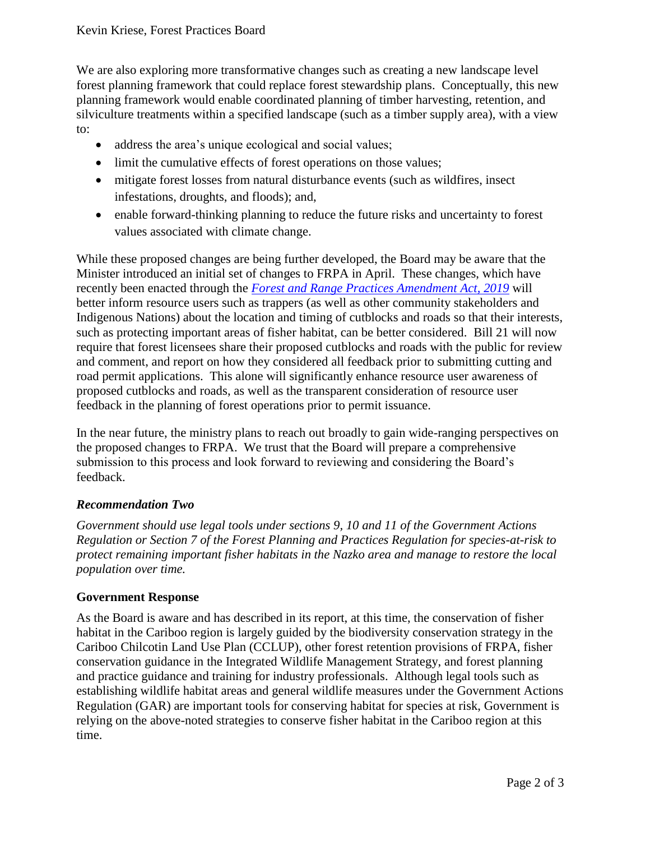We are also exploring more transformative changes such as creating a new landscape level forest planning framework that could replace forest stewardship plans. Conceptually, this new planning framework would enable coordinated planning of timber harvesting, retention, and silviculture treatments within a specified landscape (such as a timber supply area), with a view to:

- address the area's unique ecological and social values;
- limit the cumulative effects of forest operations on those values;
- mitigate forest losses from natural disturbance events (such as wildfires, insect infestations, droughts, and floods); and,
- enable forward-thinking planning to reduce the future risks and uncertainty to forest values associated with climate change.

While these proposed changes are being further developed, the Board may be aware that the Minister introduced an initial set of changes to FRPA in April. These changes, which have recently been enacted through the *[Forest and Range Practices Amendment Act, 2019](https://www.leg.bc.ca/parliamentary-business/legislation-debates-proceedings/41st-parliament/4th-session/bills/first-reading/gov21-1)* will better inform resource users such as trappers (as well as other community stakeholders and Indigenous Nations) about the location and timing of cutblocks and roads so that their interests, such as protecting important areas of fisher habitat, can be better considered. Bill 21 will now require that forest licensees share their proposed cutblocks and roads with the public for review and comment, and report on how they considered all feedback prior to submitting cutting and road permit applications. This alone will significantly enhance resource user awareness of proposed cutblocks and roads, as well as the transparent consideration of resource user feedback in the planning of forest operations prior to permit issuance.

In the near future, the ministry plans to reach out broadly to gain wide-ranging perspectives on the proposed changes to FRPA. We trust that the Board will prepare a comprehensive submission to this process and look forward to reviewing and considering the Board's feedback.

#### *Recommendation Two*

*Government should use legal tools under sections 9, 10 and 11 of the Government Actions Regulation or Section 7 of the Forest Planning and Practices Regulation for species-at-risk to protect remaining important fisher habitats in the Nazko area and manage to restore the local population over time.*

#### **Government Response**

As the Board is aware and has described in its report, at this time, the conservation of fisher habitat in the Cariboo region is largely guided by the biodiversity conservation strategy in the Cariboo Chilcotin Land Use Plan (CCLUP), other forest retention provisions of FRPA, fisher conservation guidance in the Integrated Wildlife Management Strategy, and forest planning and practice guidance and training for industry professionals. Although legal tools such as establishing wildlife habitat areas and general wildlife measures under the Government Actions Regulation (GAR) are important tools for conserving habitat for species at risk, Government is relying on the above-noted strategies to conserve fisher habitat in the Cariboo region at this time.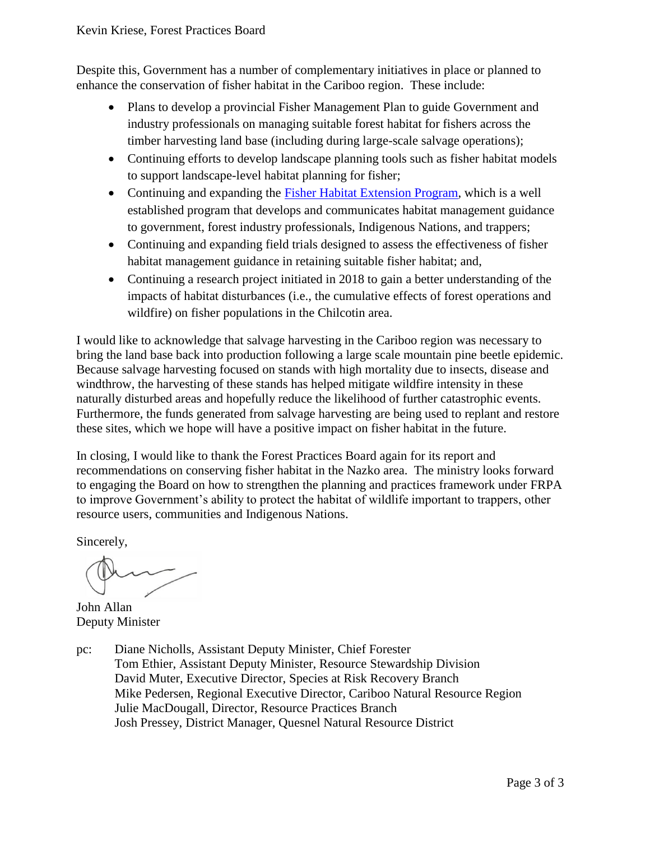Despite this, Government has a number of complementary initiatives in place or planned to enhance the conservation of fisher habitat in the Cariboo region. These include:

- Plans to develop a provincial Fisher Management Plan to guide Government and industry professionals on managing suitable forest habitat for fishers across the timber harvesting land base (including during large-scale salvage operations);
- Continuing efforts to develop landscape planning tools such as fisher habitat models to support landscape-level habitat planning for fisher;
- Continuing and expanding the [Fisher Habitat Extension Program,](https://www.bcfisherhabitat.ca/) which is a well established program that develops and communicates habitat management guidance to government, forest industry professionals, Indigenous Nations, and trappers;
- Continuing and expanding field trials designed to assess the effectiveness of fisher habitat management guidance in retaining suitable fisher habitat; and,
- Continuing a research project initiated in 2018 to gain a better understanding of the impacts of habitat disturbances (i.e., the cumulative effects of forest operations and wildfire) on fisher populations in the Chilcotin area.

I would like to acknowledge that salvage harvesting in the Cariboo region was necessary to bring the land base back into production following a large scale mountain pine beetle epidemic. Because salvage harvesting focused on stands with high mortality due to insects, disease and windthrow, the harvesting of these stands has helped mitigate wildfire intensity in these naturally disturbed areas and hopefully reduce the likelihood of further catastrophic events. Furthermore, the funds generated from salvage harvesting are being used to replant and restore these sites, which we hope will have a positive impact on fisher habitat in the future.

In closing, I would like to thank the Forest Practices Board again for its report and recommendations on conserving fisher habitat in the Nazko area. The ministry looks forward to engaging the Board on how to strengthen the planning and practices framework under FRPA to improve Government's ability to protect the habitat of wildlife important to trappers, other resource users, communities and Indigenous Nations.

Sincerely,

John Allan Deputy Minister

pc: Diane Nicholls, Assistant Deputy Minister, Chief Forester Tom Ethier, Assistant Deputy Minister, Resource Stewardship Division David Muter, Executive Director, Species at Risk Recovery Branch Mike Pedersen, Regional Executive Director, Cariboo Natural Resource Region Julie MacDougall, Director, Resource Practices Branch Josh Pressey, District Manager, Quesnel Natural Resource District